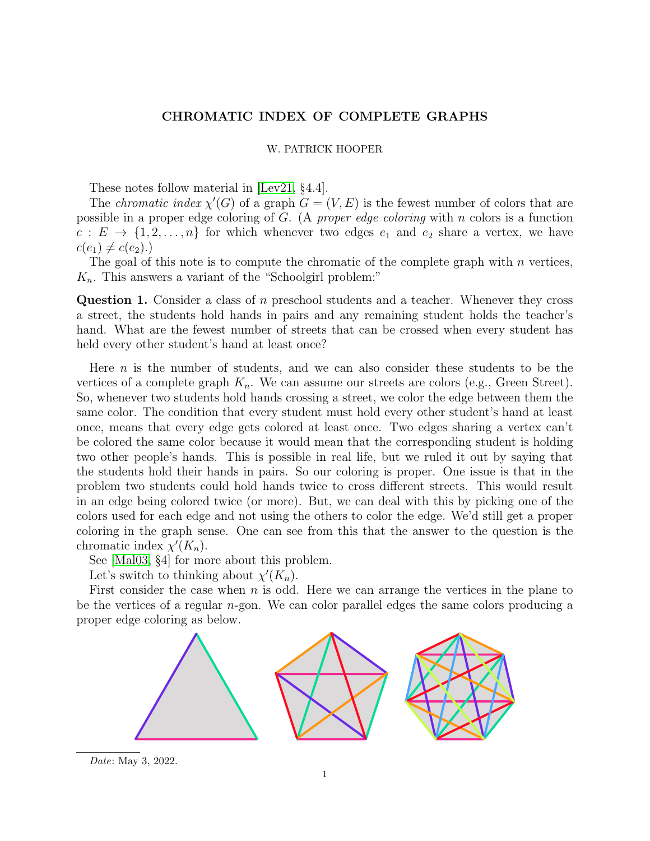## CHROMATIC INDEX OF COMPLETE GRAPHS

## W. PATRICK HOOPER

These notes follow material in [\[Lev21,](#page-2-0) §4.4].

The *chromatic index*  $\chi'(G)$  of a graph  $G = (V, E)$  is the fewest number of colors that are possible in a proper edge coloring of  $G$ . (A proper edge coloring with n colors is a function  $c: E \to \{1, 2, \ldots, n\}$  for which whenever two edges  $e_1$  and  $e_2$  share a vertex, we have  $c(e_1) \neq c(e_2)$ .)

The goal of this note is to compute the chromatic of the complete graph with  $n$  vertices,  $K_n$ . This answers a variant of the "Schoolgirl problem:"

Question 1. Consider a class of n preschool students and a teacher. Whenever they cross a street, the students hold hands in pairs and any remaining student holds the teacher's hand. What are the fewest number of streets that can be crossed when every student has held every other student's hand at least once?

Here  $n$  is the number of students, and we can also consider these students to be the vertices of a complete graph  $K_n$ . We can assume our streets are colors (e.g., Green Street). So, whenever two students hold hands crossing a street, we color the edge between them the same color. The condition that every student must hold every other student's hand at least once, means that every edge gets colored at least once. Two edges sharing a vertex can't be colored the same color because it would mean that the corresponding student is holding two other people's hands. This is possible in real life, but we ruled it out by saying that the students hold their hands in pairs. So our coloring is proper. One issue is that in the problem two students could hold hands twice to cross different streets. This would result in an edge being colored twice (or more). But, we can deal with this by picking one of the colors used for each edge and not using the others to color the edge. We'd still get a proper coloring in the graph sense. One can see from this that the answer to the question is the chromatic index  $\chi'(K_n)$ .

See [\[Mal03,](#page-2-1) §4] for more about this problem.

Let's switch to thinking about  $\chi'(K_n)$ .

First consider the case when  $n$  is odd. Here we can arrange the vertices in the plane to be the vertices of a regular n-gon. We can color parallel edges the same colors producing a proper edge coloring as below.



Date: May 3, 2022.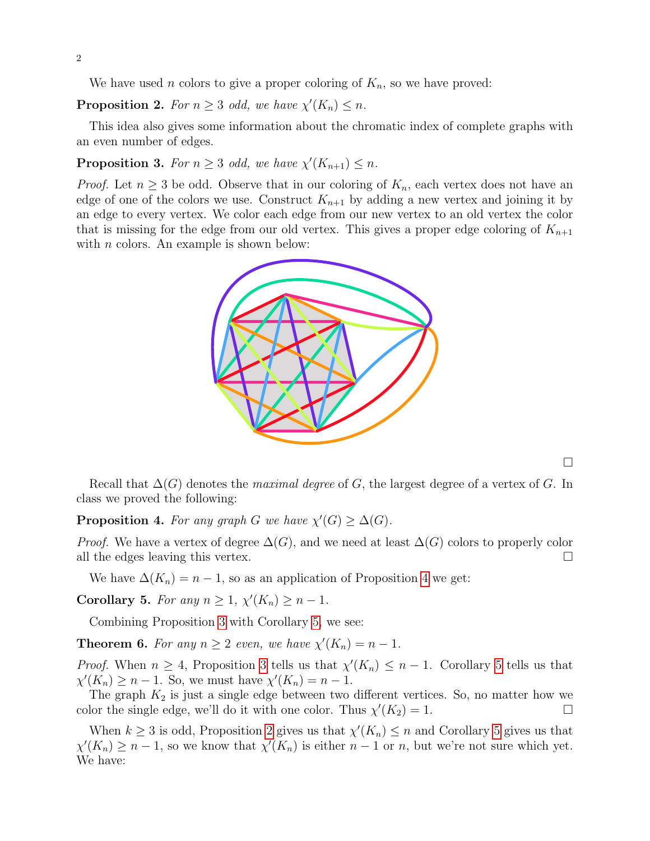We have used *n* colors to give a proper coloring of  $K_n$ , so we have proved:

<span id="page-1-3"></span>**Proposition 2.** For  $n \geq 3$  odd, we have  $\chi'(K_n) \leq n$ .

This idea also gives some information about the chromatic index of complete graphs with an even number of edges.

## <span id="page-1-1"></span>**Proposition 3.** For  $n \geq 3$  odd, we have  $\chi'(K_{n+1}) \leq n$ .

*Proof.* Let  $n \geq 3$  be odd. Observe that in our coloring of  $K_n$ , each vertex does not have an edge of one of the colors we use. Construct  $K_{n+1}$  by adding a new vertex and joining it by an edge to every vertex. We color each edge from our new vertex to an old vertex the color that is missing for the edge from our old vertex. This gives a proper edge coloring of  $K_{n+1}$ with  $n$  colors. An example is shown below:



 $\Box$ 

Recall that  $\Delta(G)$  denotes the maximal degree of G, the largest degree of a vertex of G. In class we proved the following:

<span id="page-1-0"></span>**Proposition 4.** For any graph G we have  $\chi'(G) \geq \Delta(G)$ .

*Proof.* We have a vertex of degree  $\Delta(G)$ , and we need at least  $\Delta(G)$  colors to properly color all the edges leaving this vertex.  $\Box$ 

We have  $\Delta(K_n) = n - 1$ , so as an application of Proposition [4](#page-1-0) we get:

<span id="page-1-2"></span>Corollary 5. For any  $n \geq 1$ ,  $\chi'(K_n) \geq n-1$ .

Combining Proposition [3](#page-1-1) with Corollary [5,](#page-1-2) we see:

**Theorem 6.** For any  $n \geq 2$  even, we have  $\chi'(K_n) = n - 1$ .

*Proof.* When  $n \geq 4$ , Proposition [3](#page-1-1) tells us that  $\chi'(K_n) \leq n-1$ . Corollary [5](#page-1-2) tells us that  $\chi'(K_n) \geq n-1$ . So, we must have  $\chi'(K_n) = n-1$ .

The graph  $K_2$  is just a single edge between two different vertices. So, no matter how we color the single edge, we'll do it with one color. Thus  $\chi'(K_2) = 1$ .

When  $k \geq 3$  is odd, Proposition [2](#page-1-3) gives us that  $\chi'(K_n) \leq n$  and Corollary [5](#page-1-2) gives us that  $\chi'(K_n) \geq n-1$ , so we know that  $\chi'(K_n)$  is either  $n-1$  or n, but we're not sure which yet. We have: